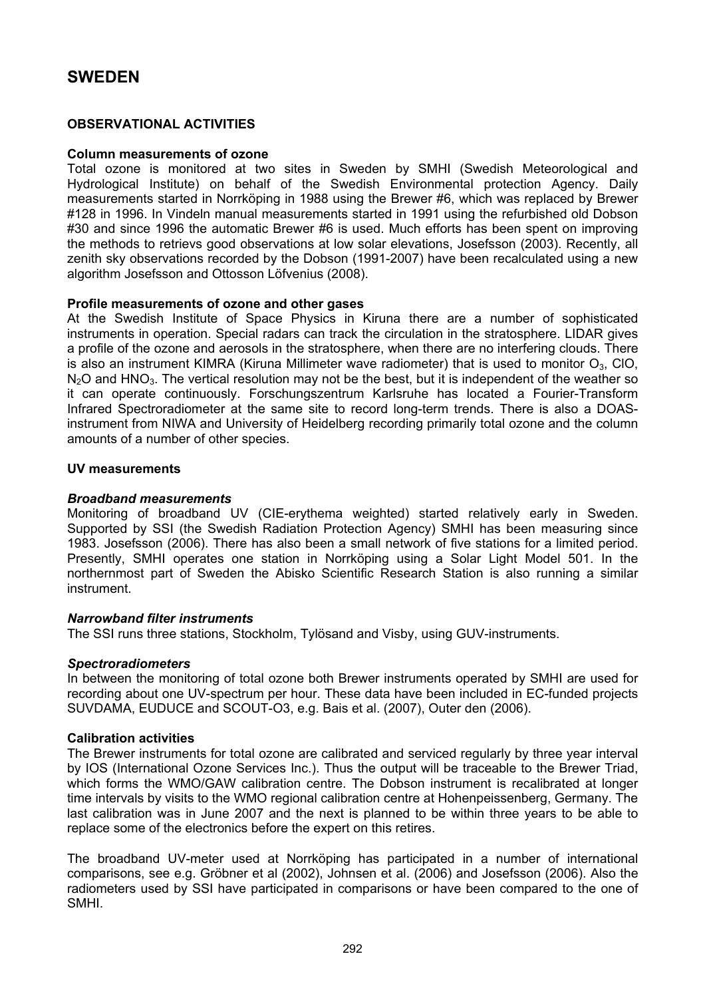# **SWEDEN**

## **OBSERVATIONAL ACTIVITIES**

## **Column measurements of ozone**

Total ozone is monitored at two sites in Sweden by SMHI (Swedish Meteorological and Hydrological Institute) on behalf of the Swedish Environmental protection Agency. Daily measurements started in Norrköping in 1988 using the Brewer #6, which was replaced by Brewer #128 in 1996. In Vindeln manual measurements started in 1991 using the refurbished old Dobson #30 and since 1996 the automatic Brewer #6 is used. Much efforts has been spent on improving the methods to retrievs good observations at low solar elevations, Josefsson (2003). Recently, all zenith sky observations recorded by the Dobson (1991-2007) have been recalculated using a new algorithm Josefsson and Ottosson Löfvenius (2008).

## **Profile measurements of ozone and other gases**

At the Swedish Institute of Space Physics in Kiruna there are a number of sophisticated instruments in operation. Special radars can track the circulation in the stratosphere. LIDAR gives a profile of the ozone and aerosols in the stratosphere, when there are no interfering clouds. There is also an instrument KIMRA (Kiruna Millimeter wave radiometer) that is used to monitor  $O_3$ , CIO,  $N<sub>2</sub>O$  and HNO<sub>3</sub>. The vertical resolution may not be the best, but it is independent of the weather so it can operate continuously. Forschungszentrum Karlsruhe has located a Fourier-Transform Infrared Spectroradiometer at the same site to record long-term trends. There is also a DOASinstrument from NIWA and University of Heidelberg recording primarily total ozone and the column amounts of a number of other species.

## **UV measurements**

## *Broadband measurements*

Monitoring of broadband UV (CIE-erythema weighted) started relatively early in Sweden. Supported by SSI (the Swedish Radiation Protection Agency) SMHI has been measuring since 1983. Josefsson (2006). There has also been a small network of five stations for a limited period. Presently, SMHI operates one station in Norrköping using a Solar Light Model 501. In the northernmost part of Sweden the Abisko Scientific Research Station is also running a similar instrument.

## *Narrowband filter instruments*

The SSI runs three stations, Stockholm, Tylösand and Visby, using GUV-instruments.

## *Spectroradiometers*

In between the monitoring of total ozone both Brewer instruments operated by SMHI are used for recording about one UV-spectrum per hour. These data have been included in EC-funded projects SUVDAMA, EUDUCE and SCOUT-O3, e.g. Bais et al. (2007), Outer den (2006).

## **Calibration activities**

The Brewer instruments for total ozone are calibrated and serviced regularly by three year interval by IOS (International Ozone Services Inc.). Thus the output will be traceable to the Brewer Triad, which forms the WMO/GAW calibration centre. The Dobson instrument is recalibrated at longer time intervals by visits to the WMO regional calibration centre at Hohenpeissenberg, Germany. The last calibration was in June 2007 and the next is planned to be within three years to be able to replace some of the electronics before the expert on this retires.

The broadband UV-meter used at Norrköping has participated in a number of international comparisons, see e.g. Gröbner et al (2002), Johnsen et al. (2006) and Josefsson (2006). Also the radiometers used by SSI have participated in comparisons or have been compared to the one of SMHI.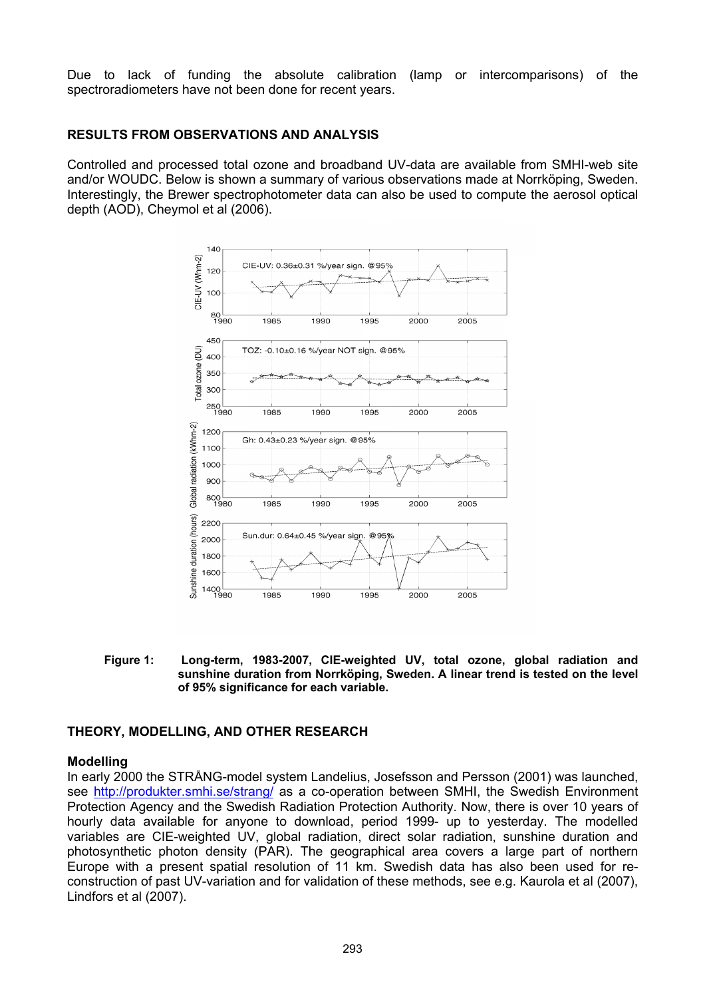Due to lack of funding the absolute calibration (lamp or intercomparisons) of the spectroradiometers have not been done for recent years.

## **RESULTS FROM OBSERVATIONS AND ANALYSIS**

Controlled and processed total ozone and broadband UV-data are available from SMHI-web site and/or WOUDC. Below is shown a summary of various observations made at Norrköping, Sweden. Interestingly, the Brewer spectrophotometer data can also be used to compute the aerosol optical depth (AOD), Cheymol et al (2006).



**Figure 1: Long-term, 1983-2007, CIE-weighted UV, total ozone, global radiation and sunshine duration from Norrköping, Sweden. A linear trend is tested on the level of 95% significance for each variable.** 

# **THEORY, MODELLING, AND OTHER RESEARCH**

## **Modelling**

In early 2000 the STRÅNG-model system Landelius, Josefsson and Persson (2001) was launched, see <http://produkter.smhi.se/strang/>as a co-operation between SMHI, the Swedish Environment Protection Agency and the Swedish Radiation Protection Authority. Now, there is over 10 years of hourly data available for anyone to download, period 1999- up to yesterday. The modelled variables are CIE-weighted UV, global radiation, direct solar radiation, sunshine duration and photosynthetic photon density (PAR). The geographical area covers a large part of northern Europe with a present spatial resolution of 11 km. Swedish data has also been used for reconstruction of past UV-variation and for validation of these methods, see e.g. Kaurola et al (2007), Lindfors et al (2007).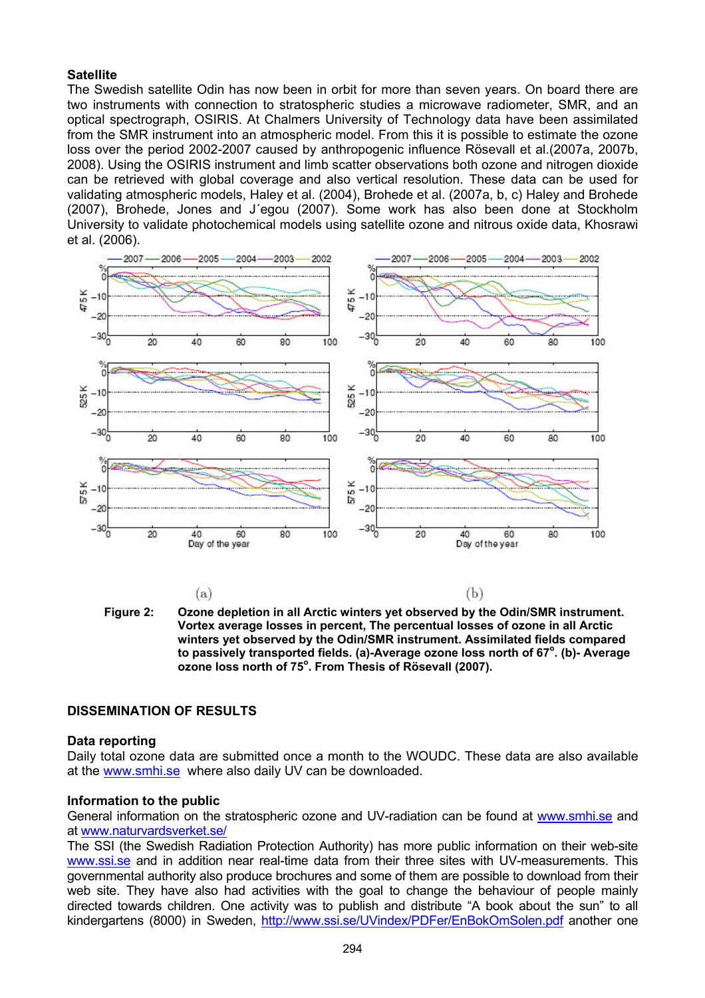## **Satellite**

The Swedish satellite Odin has now been in orbit for more than seven years. On board there are two instruments with connection to stratospheric studies a microwave radiometer, SMR, and an optical spectrograph, OSIRIS. At Chalmers University of Technology data have been assimilated from the SMR instrument into an atmospheric model. From this it is possible to estimate the ozone loss over the period 2002-2007 caused by anthropogenic influence Rösevall et al.(2007a, 2007b, 2008). Using the OSIRIS instrument and limb scatter observations both ozone and nitrogen dioxide can be retrieved with global coverage and also vertical resolution. These data can be used for validating atmospheric models, Haley et al. (2004), Brohede et al. (2007a, b, c) Haley and Brohede (2007), Brohede, Jones and J´egou (2007). Some work has also been done at Stockholm University to validate photochemical models using satellite ozone and nitrous oxide data, Khosrawi et al. (2006).





# **DISSEMINATION OF RESULTS**

## **Data reporting**

Daily total ozone data are submitted once a month to the WOUDC. These data are also available at the [www.smhi.se](http://www.smhi.se/) where also daily UV can be downloaded.

## **Information to the public**

General information on the stratospheric ozone and UV-radiation can be found at [www.smhi.se](http://www.smhi.se/) and at [www.naturvardsverket.se/](http://www.naturvardsverket.se/)

The SSI (the Swedish Radiation Protection Authority) has more public information on their web-site [www.ssi.se](http://www.ssi.se/) and in addition near real-time data from their three sites with UV-measurements. This governmental authority also produce brochures and some of them are possible to download from their web site. They have also had activities with the goal to change the behaviour of people mainly directed towards children. One activity was to publish and distribute "A book about the sun" to all kindergartens (8000) in Sweden, <http://www.ssi.se/UVindex/PDFer/EnBokOmSolen.pdf> another one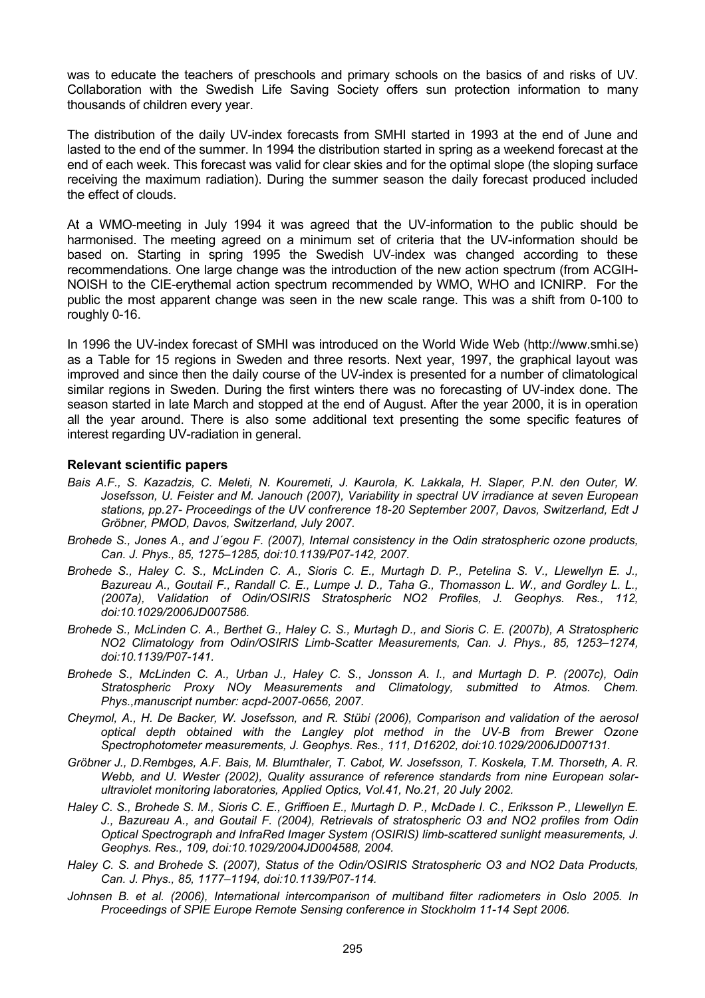was to educate the teachers of preschools and primary schools on the basics of and risks of UV. Collaboration with the Swedish Life Saving Society offers sun protection information to many thousands of children every year.

The distribution of the daily UV-index forecasts from SMHI started in 1993 at the end of June and lasted to the end of the summer. In 1994 the distribution started in spring as a weekend forecast at the end of each week. This forecast was valid for clear skies and for the optimal slope (the sloping surface receiving the maximum radiation). During the summer season the daily forecast produced included the effect of clouds.

At a WMO-meeting in July 1994 it was agreed that the UV-information to the public should be harmonised. The meeting agreed on a minimum set of criteria that the UV-information should be based on. Starting in spring 1995 the Swedish UV-index was changed according to these recommendations. One large change was the introduction of the new action spectrum (from ACGIH-NOISH to the CIE-erythemal action spectrum recommended by WMO, WHO and ICNIRP. For the public the most apparent change was seen in the new scale range. This was a shift from 0-100 to roughly 0-16.

In 1996 the UV-index forecast of SMHI was introduced on the World Wide Web (http://www.smhi.se) as a Table for 15 regions in Sweden and three resorts. Next year, 1997, the graphical layout was improved and since then the daily course of the UV-index is presented for a number of climatological similar regions in Sweden. During the first winters there was no forecasting of UV-index done. The season started in late March and stopped at the end of August. After the year 2000, it is in operation all the year around. There is also some additional text presenting the some specific features of interest regarding UV-radiation in general.

## **Relevant scientific papers**

- *Bais A.F., S. Kazadzis, C. Meleti, N. Kouremeti, J. Kaurola, K. Lakkala, H. Slaper, P.N. den Outer, W. Josefsson, U. Feister and M. Janouch (2007), Variability in spectral UV irradiance at seven European stations, pp.27- Proceedings of the UV confrerence 18-20 September 2007, Davos, Switzerland, Edt J Gröbner, PMOD, Davos, Switzerland, July 2007.*
- *Brohede S., Jones A., and J´egou F. (2007), Internal consistency in the Odin stratospheric ozone products, Can. J. Phys., 85, 1275–1285, doi:10.1139/P07-142, 2007.*
- *Brohede S., Haley C. S., McLinden C. A., Sioris C. E., Murtagh D. P., Petelina S. V., Llewellyn E. J., Bazureau A., Goutail F., Randall C. E., Lumpe J. D., Taha G., Thomasson L. W., and Gordley L. L., (2007a), Validation of Odin/OSIRIS Stratospheric NO2 Profiles, J. Geophys. Res., 112, doi:10.1029/2006JD007586.*
- *Brohede S., McLinden C. A., Berthet G., Haley C. S., Murtagh D., and Sioris C. E. (2007b), A Stratospheric NO2 Climatology from Odin/OSIRIS Limb-Scatter Measurements, Can. J. Phys., 85, 1253–1274, doi:10.1139/P07-141.*
- *Brohede S., McLinden C. A., Urban J., Haley C. S., Jonsson A. I., and Murtagh D. P. (2007c), Odin Stratospheric Proxy NOy Measurements and Climatology, submitted to Atmos. Chem. Phys.,manuscript number: acpd-2007-0656, 2007.*
- *Cheymol, A., H. De Backer, W. Josefsson, and R. Stübi (2006), Comparison and validation of the aerosol optical depth obtained with the Langley plot method in the UV-B from Brewer Ozone Spectrophotometer measurements, J. Geophys. Res., 111, D16202, doi:10.1029/2006JD007131.*
- *Gröbner J., D.Rembges, A.F. Bais, M. Blumthaler, T. Cabot, W. Josefsson, T. Koskela, T.M. Thorseth, A. R. Webb, and U. Wester (2002), Quality assurance of reference standards from nine European solarultraviolet monitoring laboratories, Applied Optics, Vol.41, No.21, 20 July 2002.*
- *Haley C. S., Brohede S. M., Sioris C. E., Griffioen E., Murtagh D. P., McDade I. C., Eriksson P., Llewellyn E. J., Bazureau A., and Goutail F. (2004), Retrievals of stratospheric O3 and NO2 profiles from Odin Optical Spectrograph and InfraRed Imager System (OSIRIS) limb-scattered sunlight measurements, J. Geophys. Res., 109, doi:10.1029/2004JD004588, 2004.*
- *Haley C. S. and Brohede S. (2007), Status of the Odin/OSIRIS Stratospheric O3 and NO2 Data Products, Can. J. Phys., 85, 1177–1194, doi:10.1139/P07-114.*
- *Johnsen B. et al. (2006), International intercomparison of multiband filter radiometers in Oslo 2005. In Proceedings of SPIE Europe Remote Sensing conference in Stockholm 11-14 Sept 2006.*